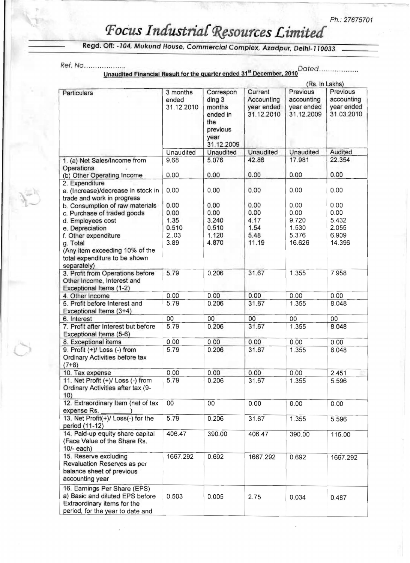## $F$ ocus Industrial Resources Limited

|                                                                                                                                    |                                 |                                                                                    | Unaudited Financial Result for the quarter ended 31 <sup>st</sup> December, 2010<br>(Rs. In Lakhs) |                                                    |                                                    |  |
|------------------------------------------------------------------------------------------------------------------------------------|---------------------------------|------------------------------------------------------------------------------------|----------------------------------------------------------------------------------------------------|----------------------------------------------------|----------------------------------------------------|--|
| Particulars                                                                                                                        | 3 months<br>ended<br>31.12.2010 | Correspon<br>ding 3<br>months<br>ended in<br>the<br>previous<br>year<br>31.12.2009 | Current<br>Accounting<br>year ended<br>31.12.2010                                                  | Previous<br>accounting<br>year ended<br>31.12.2009 | Previous<br>accounting<br>year ended<br>31.03.2010 |  |
|                                                                                                                                    | Unaudited                       | <b>Unaudited</b>                                                                   | <b>Unaudited</b>                                                                                   | Unaudited                                          | Audited                                            |  |
| 1. (a) Net Sales/Income from<br>Operations<br>(b) Other Operating Income                                                           | 9.68<br>0.00                    | 5.076<br>0.00                                                                      | 42.86<br>0.00                                                                                      | 17.981<br>0.00                                     | 22.354<br>0.00                                     |  |
| 2. Expenditure<br>a. (Increase)/decrease in stock in                                                                               | 0.00                            | 0.00                                                                               | 0.00                                                                                               | 0.00                                               | 0.00                                               |  |
| trade and work in progress<br>b. Consumption of raw materials<br>c. Purchase of traded goods<br>d. Employees cost                  | 0.00<br>0.00<br>1.35            | 0.00<br>0.00<br>3.240                                                              | 0.00<br>0.00<br>4.17                                                                               | 0.00<br>0.00<br>9.720                              | 0.00<br>0.00<br>5.432                              |  |
| e. Depreciation<br>f. Other expenditure<br>g. Total<br>(Any item exceeding 10% of the<br>total expenditure to be shown             | 0.510<br>2.03<br>3.89           | 0.510<br>1.120<br>4.870                                                            | 1.54<br>5.48<br>11.19                                                                              | 1.530<br>5.376<br>16.626                           | 2.055<br>6.909<br>14.396                           |  |
| separately)<br>3. Profit from Operations before<br>Other Income, Interest and<br>Exceptional Items (1-2)                           | 5.79                            | 0.206                                                                              | 31.67                                                                                              | 1.355                                              | 7.958                                              |  |
| 4. Other Income                                                                                                                    | 0.00                            | 0.00                                                                               | 0.00                                                                                               | 0.00                                               | 0.00                                               |  |
| 5. Profit before Interest and<br>Exceptional Items (3+4)                                                                           | 5.79                            | 0.206                                                                              | 31.67                                                                                              | 1.355                                              | 8.048                                              |  |
| 6. Interest                                                                                                                        | 00                              | 00                                                                                 | 00                                                                                                 | 00                                                 | 00                                                 |  |
| 7. Profit after Interest but before<br>Exceptional Items (5-6)                                                                     | 5.79                            | 0.206                                                                              | 31.67                                                                                              | 1.355                                              | 8.048                                              |  |
| 8. Exceptional items                                                                                                               | 0.00                            | 0.00                                                                               | 0.00                                                                                               | 0.00                                               | 0.00                                               |  |
| 9. Profit $(+)/$ Loss $(-)$ from<br><b>Ordinary Activities before tax</b><br>$(7+8)$                                               | 5.79                            | 0.206                                                                              | 31.67                                                                                              | 1.355                                              | 8.048                                              |  |
| 10. Tax expense                                                                                                                    | 0.00                            | 0.00                                                                               | 0.00                                                                                               | 0.00                                               | 2.451                                              |  |
| 11. Net Profit (+)/ Loss (-) from<br>Ordinary Activities after tax (9-<br>10)                                                      | 5.79                            | 0.206                                                                              | 31.67                                                                                              | 1.355                                              | 5.596                                              |  |
| 12. Extraordinary Item (net of tax<br>expense Rs.                                                                                  | 00                              | 00                                                                                 | 0.00                                                                                               | 0.00                                               | 0.00                                               |  |
| 13. Net Profit(+)/ Loss(-) for the<br>period (11-12)                                                                               | 5.79                            | 0.206                                                                              | 31.67                                                                                              | 1.355                                              | 5.596                                              |  |
| 14. Paid-up equity share capital<br>(Face Value of the Share Rs.<br>10/- each)                                                     | 406.47                          | 390.00                                                                             | 406.47                                                                                             | 390.00                                             | 115.00                                             |  |
| 15. Reserve excluding<br>Revaluation Reserves as per<br>balance sheet of previous<br>accounting year                               | 1667.292                        | 0.692                                                                              | 1667.292                                                                                           | 0.692                                              | 1667.292                                           |  |
| 16. Earnings Per Share (EPS)<br>a) Basic and diluted EPS before<br>Extraordinary items for the<br>period, for the year to date and | 0.503                           | 0.005                                                                              | 2.75                                                                                               | 0.034                                              | 0.487                                              |  |

Regd. Off: -104, Mukund House, Commercial Complex, Azadpur, Delhi-110033.